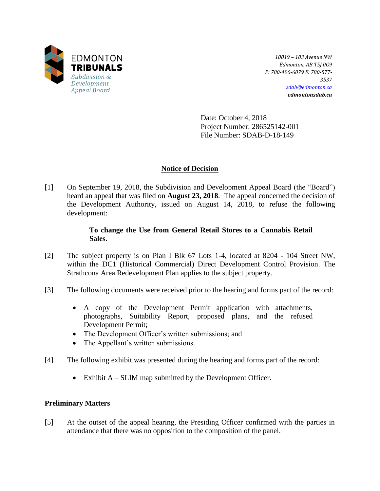

*10019 – 103 Avenue NW Edmonton, AB T5J 0G9 P: 780-496-6079 F: 780-577- 3537 [sdab@edmonton.ca](mailto:sdab@edmonton.ca) edmontonsdab.ca*

Date: October 4, 2018 Project Number: 286525142-001 File Number: SDAB-D-18-149

## **Notice of Decision**

[1] On September 19, 2018, the Subdivision and Development Appeal Board (the "Board") heard an appeal that was filed on **August 23, 2018**. The appeal concerned the decision of the Development Authority, issued on August 14, 2018, to refuse the following development:

## **To change the Use from General Retail Stores to a Cannabis Retail Sales.**

- [2] The subject property is on Plan I Blk 67 Lots 1-4, located at 8204 104 Street NW, within the DC1 (Historical Commercial) Direct Development Control Provision. The Strathcona Area Redevelopment Plan applies to the subject property.
- [3] The following documents were received prior to the hearing and forms part of the record:
	- A copy of the Development Permit application with attachments, photographs, Suitability Report, proposed plans, and the refused Development Permit;
	- The Development Officer's written submissions; and
	- The Appellant's written submissions.
- [4] The following exhibit was presented during the hearing and forms part of the record:
	- Exhibit A SLIM map submitted by the Development Officer.

### **Preliminary Matters**

[5] At the outset of the appeal hearing, the Presiding Officer confirmed with the parties in attendance that there was no opposition to the composition of the panel.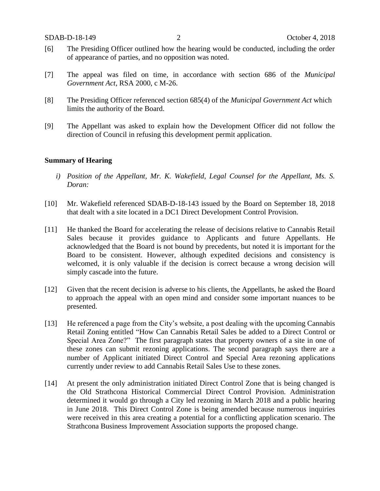- [6] The Presiding Officer outlined how the hearing would be conducted, including the order of appearance of parties, and no opposition was noted.
- [7] The appeal was filed on time, in accordance with section 686 of the *Municipal Government Act*, RSA 2000, c M-26.
- [8] The Presiding Officer referenced section 685(4) of the *Municipal Government Act* which limits the authority of the Board.
- [9] The Appellant was asked to explain how the Development Officer did not follow the direction of Council in refusing this development permit application.

#### **Summary of Hearing**

- *i) Position of the Appellant, Mr. K. Wakefield, Legal Counsel for the Appellant, Ms. S. Doran:*
- [10] Mr. Wakefield referenced SDAB-D-18-143 issued by the Board on September 18, 2018 that dealt with a site located in a DC1 Direct Development Control Provision.
- [11] He thanked the Board for accelerating the release of decisions relative to Cannabis Retail Sales because it provides guidance to Applicants and future Appellants. He acknowledged that the Board is not bound by precedents, but noted it is important for the Board to be consistent. However, although expedited decisions and consistency is welcomed, it is only valuable if the decision is correct because a wrong decision will simply cascade into the future.
- [12] Given that the recent decision is adverse to his clients, the Appellants, he asked the Board to approach the appeal with an open mind and consider some important nuances to be presented.
- [13] He referenced a page from the City's website, a post dealing with the upcoming Cannabis Retail Zoning entitled "How Can Cannabis Retail Sales be added to a Direct Control or Special Area Zone?" The first paragraph states that property owners of a site in one of these zones can submit rezoning applications. The second paragraph says there are a number of Applicant initiated Direct Control and Special Area rezoning applications currently under review to add Cannabis Retail Sales Use to these zones.
- [14] At present the only administration initiated Direct Control Zone that is being changed is the Old Strathcona Historical Commercial Direct Control Provision. Administration determined it would go through a City led rezoning in March 2018 and a public hearing in June 2018. This Direct Control Zone is being amended because numerous inquiries were received in this area creating a potential for a conflicting application scenario. The Strathcona Business Improvement Association supports the proposed change.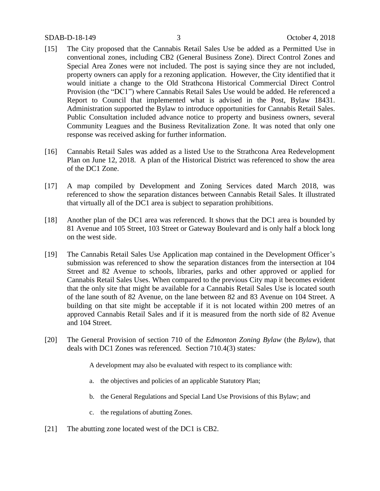- [15] The City proposed that the Cannabis Retail Sales Use be added as a Permitted Use in conventional zones, including CB2 (General Business Zone). Direct Control Zones and Special Area Zones were not included. The post is saying since they are not included, property owners can apply for a rezoning application. However, the City identified that it would initiate a change to the Old Strathcona Historical Commercial Direct Control Provision (the "DC1") where Cannabis Retail Sales Use would be added. He referenced a Report to Council that implemented what is advised in the Post, Bylaw 18431. Administration supported the Bylaw to introduce opportunities for Cannabis Retail Sales. Public Consultation included advance notice to property and business owners, several Community Leagues and the Business Revitalization Zone. It was noted that only one response was received asking for further information.
- [16] Cannabis Retail Sales was added as a listed Use to the Strathcona Area Redevelopment Plan on June 12, 2018. A plan of the Historical District was referenced to show the area of the DC1 Zone.
- [17] A map compiled by Development and Zoning Services dated March 2018, was referenced to show the separation distances between Cannabis Retail Sales. It illustrated that virtually all of the DC1 area is subject to separation prohibitions.
- [18] Another plan of the DC1 area was referenced. It shows that the DC1 area is bounded by 81 Avenue and 105 Street, 103 Street or Gateway Boulevard and is only half a block long on the west side.
- [19] The Cannabis Retail Sales Use Application map contained in the Development Officer's submission was referenced to show the separation distances from the intersection at 104 Street and 82 Avenue to schools, libraries, parks and other approved or applied for Cannabis Retail Sales Uses. When compared to the previous City map it becomes evident that the only site that might be available for a Cannabis Retail Sales Use is located south of the lane south of 82 Avenue, on the lane between 82 and 83 Avenue on 104 Street. A building on that site might be acceptable if it is not located within 200 metres of an approved Cannabis Retail Sales and if it is measured from the north side of 82 Avenue and 104 Street.
- [20] The General Provision of section 710 of the *Edmonton Zoning Bylaw* (the *Bylaw*)*,* that deals with DC1 Zones was referenced*.* Section 710.4(3) states*:*

A development may also be evaluated with respect to its compliance with:

- a. the objectives and policies of an applicable Statutory Plan;
- b. the General Regulations and Special Land Use Provisions of this Bylaw; and
- c. the regulations of abutting Zones.
- [21] The abutting zone located west of the DC1 is CB2.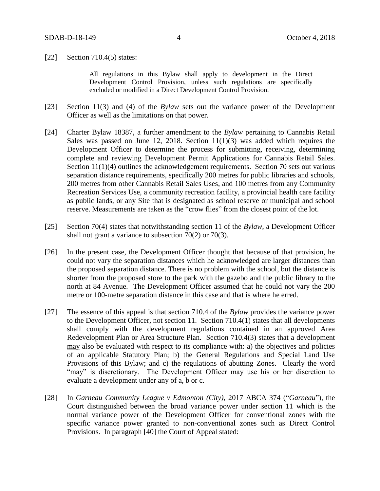[22] Section 710.4(5) states:

All regulations in this Bylaw shall apply to development in the Direct Development Control Provision, unless such regulations are specifically excluded or modified in a Direct Development Control Provision.

- [23] Section 11(3) and (4) of the *Bylaw* sets out the variance power of the Development Officer as well as the limitations on that power.
- [24] Charter Bylaw 18387, a further amendment to the *Bylaw* pertaining to Cannabis Retail Sales was passed on June 12, 2018. Section  $11(1)(3)$  was added which requires the Development Officer to determine the process for submitting, receiving, determining complete and reviewing Development Permit Applications for Cannabis Retail Sales. Section 11(1)(4) outlines the acknowledgement requirements. Section 70 sets out various separation distance requirements, specifically 200 metres for public libraries and schools, 200 metres from other Cannabis Retail Sales Uses, and 100 metres from any Community Recreation Services Use, a community recreation facility, a provincial health care facility as public lands, or any Site that is designated as school reserve or municipal and school reserve. Measurements are taken as the "crow flies" from the closest point of the lot.
- [25] Section 70(4) states that notwithstanding section 11 of the *Bylaw*, a Development Officer shall not grant a variance to subsection 70(2) or 70(3).
- [26] In the present case, the Development Officer thought that because of that provision, he could not vary the separation distances which he acknowledged are larger distances than the proposed separation distance. There is no problem with the school, but the distance is shorter from the proposed store to the park with the gazebo and the public library to the north at 84 Avenue. The Development Officer assumed that he could not vary the 200 metre or 100-metre separation distance in this case and that is where he erred.
- [27] The essence of this appeal is that section 710.4 of the *Bylaw* provides the variance power to the Development Officer, not section 11. Section 710.4(1) states that all developments shall comply with the development regulations contained in an approved Area Redevelopment Plan or Area Structure Plan. Section 710.4(3) states that a development may also be evaluated with respect to its compliance with: a) the objectives and policies of an applicable Statutory Plan; b) the General Regulations and Special Land Use Provisions of this Bylaw; and c) the regulations of abutting Zones. Clearly the word "may" is discretionary. The Development Officer may use his or her discretion to evaluate a development under any of a, b or c.
- [28] In *Garneau Community League v Edmonton (City)*, 2017 ABCA 374 ("*Garneau*"), the Court distinguished between the broad variance power under section 11 which is the normal variance power of the Development Officer for conventional zones with the specific variance power granted to non-conventional zones such as Direct Control Provisions. In paragraph [40] the Court of Appeal stated: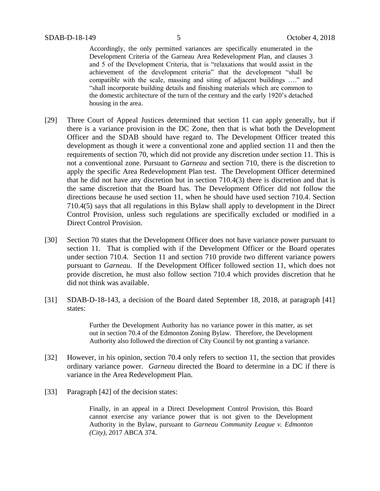Accordingly, the only permitted variances are specifically enumerated in the Development Criteria of the Garneau Area Redevelopment Plan, and clauses 3 and 5 of the Development Criteria, that is "relaxations that would assist in the achievement of the development criteria" that the development "shall be compatible with the scale, massing and siting of adjacent buildings …." and "shall incorporate building details and finishing materials which are common to the domestic architecture of the turn of the century and the early 1920's detached housing in the area.

- [29] Three Court of Appeal Justices determined that section 11 can apply generally, but if there is a variance provision in the DC Zone, then that is what both the Development Officer and the SDAB should have regard to. The Development Officer treated this development as though it were a conventional zone and applied section 11 and then the requirements of section 70, which did not provide any discretion under section 11. This is not a conventional zone. Pursuant to *Garneau* and section 710, there is the discretion to apply the specific Area Redevelopment Plan test. The Development Officer determined that he did not have any discretion but in section 710.4(3) there is discretion and that is the same discretion that the Board has. The Development Officer did not follow the directions because he used section 11, when he should have used section 710.4. Section 710.4(5) says that all regulations in this Bylaw shall apply to development in the Direct Control Provision, unless such regulations are specifically excluded or modified in a Direct Control Provision.
- [30] Section 70 states that the Development Officer does not have variance power pursuant to section 11. That is complied with if the Development Officer or the Board operates under section 710.4. Section 11 and section 710 provide two different variance powers pursuant to *Garneau*. If the Development Officer followed section 11, which does not provide discretion, he must also follow section 710.4 which provides discretion that he did not think was available.
- [31] SDAB-D-18-143, a decision of the Board dated September 18, 2018, at paragraph [41] states:

Further the Development Authority has no variance power in this matter, as set out in section 70.4 of the Edmonton Zoning Bylaw. Therefore, the Development Authority also followed the direction of City Council by not granting a variance.

- [32] However, in his opinion, section 70.4 only refers to section 11, the section that provides ordinary variance power. *Garneau* directed the Board to determine in a DC if there is variance in the Area Redevelopment Plan.
- [33] Paragraph [42] of the decision states:

Finally, in an appeal in a Direct Development Control Provision, this Board cannot exercise any variance power that is not given to the Development Authority in the Bylaw, pursuant to *Garneau Community League v. Edmonton (City)*, 2017 ABCA 374.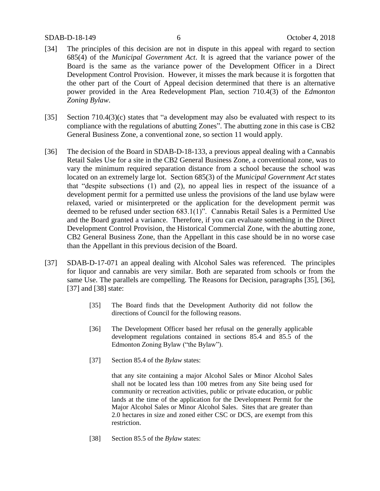#### SDAB-D-18-149 6 October 4, 2018

- [34] The principles of this decision are not in dispute in this appeal with regard to section 685(4) of the *Municipal Government Act*. It is agreed that the variance power of the Board is the same as the variance power of the Development Officer in a Direct Development Control Provision. However, it misses the mark because it is forgotten that the other part of the Court of Appeal decision determined that there is an alternative power provided in the Area Redevelopment Plan, section 710.4(3) of the *Edmonton Zoning Bylaw*.
- [35] Section 710.4(3)(c) states that "a development may also be evaluated with respect to its compliance with the regulations of abutting Zones". The abutting zone in this case is CB2 General Business Zone, a conventional zone, so section 11 would apply.
- [36] The decision of the Board in SDAB-D-18-133, a previous appeal dealing with a Cannabis Retail Sales Use for a site in the CB2 General Business Zone, a conventional zone, was to vary the minimum required separation distance from a school because the school was located on an extremely large lot. Section 685(3) of the *Municipal Government Act* states that "despite subsections (1) and (2), no appeal lies in respect of the issuance of a development permit for a permitted use unless the provisions of the land use bylaw were relaxed, varied or misinterpreted or the application for the development permit was deemed to be refused under section 683.1(1)". Cannabis Retail Sales is a Permitted Use and the Board granted a variance. Therefore, if you can evaluate something in the Direct Development Control Provision, the Historical Commercial Zone, with the abutting zone, CB2 General Business Zone, than the Appellant in this case should be in no worse case than the Appellant in this previous decision of the Board.
- [37] SDAB-D-17-071 an appeal dealing with Alcohol Sales was referenced. The principles for liquor and cannabis are very similar. Both are separated from schools or from the same Use. The parallels are compelling. The Reasons for Decision, paragraphs [35], [36], [37] and [38] state:
	- [35] The Board finds that the Development Authority did not follow the directions of Council for the following reasons.
	- [36] The Development Officer based her refusal on the generally applicable development regulations contained in sections 85.4 and 85.5 of the Edmonton Zoning Bylaw ("the Bylaw").
	- [37] Section 85.4 of the *Bylaw* states:

that any site containing a major Alcohol Sales or Minor Alcohol Sales shall not be located less than 100 metres from any Site being used for community or recreation activities, public or private education, or public lands at the time of the application for the Development Permit for the Major Alcohol Sales or Minor Alcohol Sales. Sites that are greater than 2.0 hectares in size and zoned either CSC or DCS, are exempt from this restriction.

[38] Section 85.5 of the *Bylaw* states: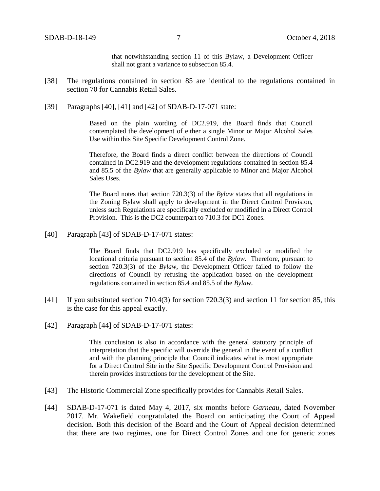that notwithstanding section 11 of this Bylaw, a Development Officer shall not grant a variance to subsection 85.4.

- [38] The regulations contained in section 85 are identical to the regulations contained in section 70 for Cannabis Retail Sales.
- [39] Paragraphs [40], [41] and [42] of SDAB-D-17-071 state:

Based on the plain wording of DC2.919, the Board finds that Council contemplated the development of either a single Minor or Major Alcohol Sales Use within this Site Specific Development Control Zone.

Therefore, the Board finds a direct conflict between the directions of Council contained in DC2.919 and the development regulations contained in section 85.4 and 85.5 of the *Bylaw* that are generally applicable to Minor and Major Alcohol Sales Uses.

The Board notes that section 720.3(3) of the *Bylaw* states that all regulations in the Zoning Bylaw shall apply to development in the Direct Control Provision, unless such Regulations are specifically excluded or modified in a Direct Control Provision. This is the DC2 counterpart to 710.3 for DC1 Zones.

[40] Paragraph [43] of SDAB-D-17-071 states:

The Board finds that DC2.919 has specifically excluded or modified the locational criteria pursuant to section 85.4 of the *Bylaw*. Therefore, pursuant to section 720.3(3) of the *Bylaw*, the Development Officer failed to follow the directions of Council by refusing the application based on the development regulations contained in section 85.4 and 85.5 of the *Bylaw*.

- [41] If you substituted section 710.4(3) for section 720.3(3) and section 11 for section 85, this is the case for this appeal exactly.
- [42] Paragraph [44] of SDAB-D-17-071 states:

This conclusion is also in accordance with the general statutory principle of interpretation that the specific will override the general in the event of a conflict and with the planning principle that Council indicates what is most appropriate for a Direct Control Site in the Site Specific Development Control Provision and therein provides instructions for the development of the Site.

- [43] The Historic Commercial Zone specifically provides for Cannabis Retail Sales.
- [44] SDAB-D-17-071 is dated May 4, 2017, six months before *Garneau*, dated November 2017. Mr. Wakefield congratulated the Board on anticipating the Court of Appeal decision. Both this decision of the Board and the Court of Appeal decision determined that there are two regimes, one for Direct Control Zones and one for generic zones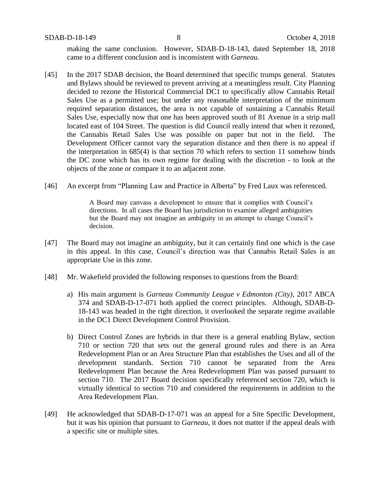SDAB-D-18-149 8 October 4, 2018

making the same conclusion. However, SDAB-D-18-143, dated September 18, 2018 came to a different conclusion and is inconsistent with *Garneau.*

- [45] In the 2017 SDAB decision, the Board determined that specific trumps general. Statutes and Bylaws should be reviewed to prevent arriving at a meaningless result. City Planning decided to rezone the Historical Commercial DC1 to specifically allow Cannabis Retail Sales Use as a permitted use; but under any reasonable interpretation of the minimum required separation distances, the area is not capable of sustaining a Cannabis Retail Sales Use, especially now that one has been approved south of 81 Avenue in a strip mall located east of 104 Street. The question is did Council really intend that when it rezoned, the Cannabis Retail Sales Use was possible on paper but not in the field. The Development Officer cannot vary the separation distance and then there is no appeal if the interpretation in 685(4) is that section 70 which refers to section 11 somehow binds the DC zone which has its own regime for dealing with the discretion - to look at the objects of the zone or compare it to an adjacent zone.
- [46] An excerpt from "Planning Law and Practice in Alberta" by Fred Laux was referenced.

A Board may canvass a development to ensure that it complies with Council's directions. In all cases the Board has jurisdiction to examine alleged ambiguities but the Board may not imagine an ambiguity in an attempt to change Council's decision.

- [47] The Board may not imagine an ambiguity, but it can certainly find one which is the case in this appeal. In this case, Council's direction was that Cannabis Retail Sales is an appropriate Use in this zone.
- [48] Mr. Wakefield provided the following responses to questions from the Board:
	- a) His main argument is *Garneau Community League v Edmonton (City),* 2017 ABCA 374 and SDAB-D-17-071 both applied the correct principles. Although, SDAB-D-18-143 was headed in the right direction, it overlooked the separate regime available in the DC1 Direct Development Control Provision.
	- b) Direct Control Zones are hybrids in that there is a general enabling Bylaw, section 710 or section 720 that sets out the general ground rules and there is an Area Redevelopment Plan or an Area Structure Plan that establishes the Uses and all of the development standards. Section 710 cannot be separated from the Area Redevelopment Plan because the Area Redevelopment Plan was passed pursuant to section 710. The 2017 Board decision specifically referenced section 720, which is virtually identical to section 710 and considered the requirements in addition to the Area Redevelopment Plan.
- [49] He acknowledged that SDAB-D-17-071 was an appeal for a Site Specific Development, but it was his opinion that pursuant to *Garneau*, it does not matter if the appeal deals with a specific site or multiple sites.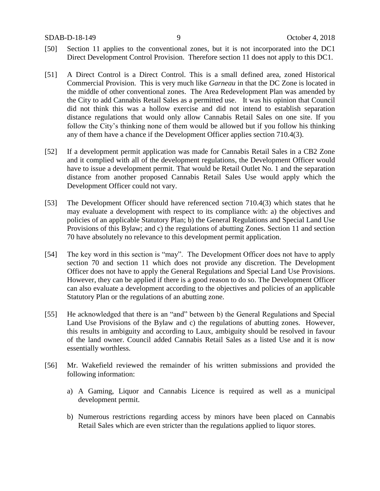- [50] Section 11 applies to the conventional zones, but it is not incorporated into the DC1 Direct Development Control Provision. Therefore section 11 does not apply to this DC1.
- [51] A Direct Control is a Direct Control. This is a small defined area, zoned Historical Commercial Provision. This is very much like *Garneau* in that the DC Zone is located in the middle of other conventional zones. The Area Redevelopment Plan was amended by the City to add Cannabis Retail Sales as a permitted use. It was his opinion that Council did not think this was a hollow exercise and did not intend to establish separation distance regulations that would only allow Cannabis Retail Sales on one site. If you follow the City's thinking none of them would be allowed but if you follow his thinking any of them have a chance if the Development Officer applies section 710.4(3).
- [52] If a development permit application was made for Cannabis Retail Sales in a CB2 Zone and it complied with all of the development regulations, the Development Officer would have to issue a development permit. That would be Retail Outlet No. 1 and the separation distance from another proposed Cannabis Retail Sales Use would apply which the Development Officer could not vary.
- [53] The Development Officer should have referenced section 710.4(3) which states that he may evaluate a development with respect to its compliance with: a) the objectives and policies of an applicable Statutory Plan; b) the General Regulations and Special Land Use Provisions of this Bylaw; and c) the regulations of abutting Zones. Section 11 and section 70 have absolutely no relevance to this development permit application.
- [54] The key word in this section is "may". The Development Officer does not have to apply section 70 and section 11 which does not provide any discretion. The Development Officer does not have to apply the General Regulations and Special Land Use Provisions. However, they can be applied if there is a good reason to do so. The Development Officer can also evaluate a development according to the objectives and policies of an applicable Statutory Plan or the regulations of an abutting zone.
- [55] He acknowledged that there is an "and" between b) the General Regulations and Special Land Use Provisions of the Bylaw and c) the regulations of abutting zones. However, this results in ambiguity and according to Laux, ambiguity should be resolved in favour of the land owner. Council added Cannabis Retail Sales as a listed Use and it is now essentially worthless.
- [56] Mr. Wakefield reviewed the remainder of his written submissions and provided the following information:
	- a) A Gaming, Liquor and Cannabis Licence is required as well as a municipal development permit.
	- b) Numerous restrictions regarding access by minors have been placed on Cannabis Retail Sales which are even stricter than the regulations applied to liquor stores.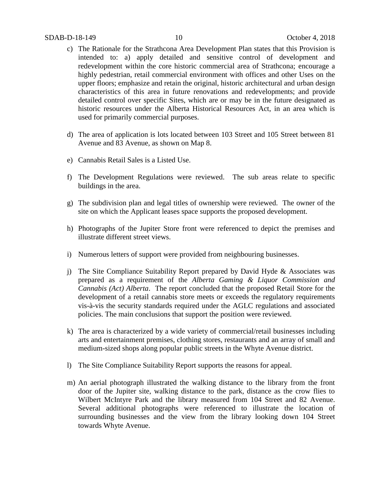- c) The Rationale for the Strathcona Area Development Plan states that this Provision is intended to: a) apply detailed and sensitive control of development and redevelopment within the core historic commercial area of Strathcona; encourage a highly pedestrian, retail commercial environment with offices and other Uses on the upper floors; emphasize and retain the original, historic architectural and urban design characteristics of this area in future renovations and redevelopments; and provide detailed control over specific Sites, which are or may be in the future designated as historic resources under the Alberta Historical Resources Act, in an area which is used for primarily commercial purposes.
- d) The area of application is lots located between 103 Street and 105 Street between 81 Avenue and 83 Avenue, as shown on Map 8.
- e) Cannabis Retail Sales is a Listed Use.
- f) The Development Regulations were reviewed. The sub areas relate to specific buildings in the area.
- g) The subdivision plan and legal titles of ownership were reviewed. The owner of the site on which the Applicant leases space supports the proposed development.
- h) Photographs of the Jupiter Store front were referenced to depict the premises and illustrate different street views.
- i) Numerous letters of support were provided from neighbouring businesses.
- j) The Site Compliance Suitability Report prepared by David Hyde & Associates was prepared as a requirement of the *Alberta Gaming & Liquor Commission and Cannabis (Act) Alberta*. The report concluded that the proposed Retail Store for the development of a retail cannabis store meets or exceeds the regulatory requirements vis-à-vis the security standards required under the AGLC regulations and associated policies. The main conclusions that support the position were reviewed.
- k) The area is characterized by a wide variety of commercial/retail businesses including arts and entertainment premises, clothing stores, restaurants and an array of small and medium-sized shops along popular public streets in the Whyte Avenue district.
- l) The Site Compliance Suitability Report supports the reasons for appeal.
- m) An aerial photograph illustrated the walking distance to the library from the front door of the Jupiter site, walking distance to the park, distance as the crow flies to Wilbert McIntyre Park and the library measured from 104 Street and 82 Avenue. Several additional photographs were referenced to illustrate the location of surrounding businesses and the view from the library looking down 104 Street towards Whyte Avenue.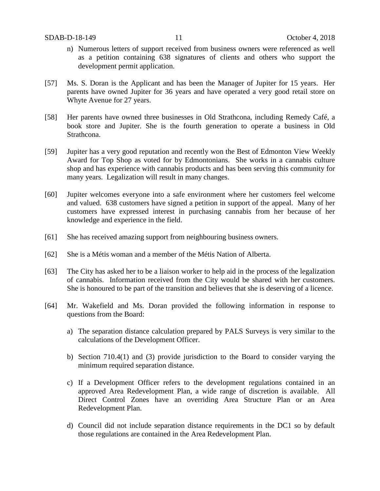- n) Numerous letters of support received from business owners were referenced as well as a petition containing 638 signatures of clients and others who support the development permit application.
- [57] Ms. S. Doran is the Applicant and has been the Manager of Jupiter for 15 years. Her parents have owned Jupiter for 36 years and have operated a very good retail store on Whyte Avenue for 27 years.
- [58] Her parents have owned three businesses in Old Strathcona, including Remedy Café, a book store and Jupiter. She is the fourth generation to operate a business in Old Strathcona.
- [59] Jupiter has a very good reputation and recently won the Best of Edmonton View Weekly Award for Top Shop as voted for by Edmontonians. She works in a cannabis culture shop and has experience with cannabis products and has been serving this community for many years. Legalization will result in many changes.
- [60] Jupiter welcomes everyone into a safe environment where her customers feel welcome and valued. 638 customers have signed a petition in support of the appeal. Many of her customers have expressed interest in purchasing cannabis from her because of her knowledge and experience in the field.
- [61] She has received amazing support from neighbouring business owners.
- [62] She is a Métis woman and a member of the Métis Nation of Alberta.
- [63] The City has asked her to be a liaison worker to help aid in the process of the legalization of cannabis. Information received from the City would be shared with her customers. She is honoured to be part of the transition and believes that she is deserving of a licence.
- [64] Mr. Wakefield and Ms. Doran provided the following information in response to questions from the Board:
	- a) The separation distance calculation prepared by PALS Surveys is very similar to the calculations of the Development Officer.
	- b) Section 710.4(1) and (3) provide jurisdiction to the Board to consider varying the minimum required separation distance.
	- c) If a Development Officer refers to the development regulations contained in an approved Area Redevelopment Plan, a wide range of discretion is available. All Direct Control Zones have an overriding Area Structure Plan or an Area Redevelopment Plan.
	- d) Council did not include separation distance requirements in the DC1 so by default those regulations are contained in the Area Redevelopment Plan.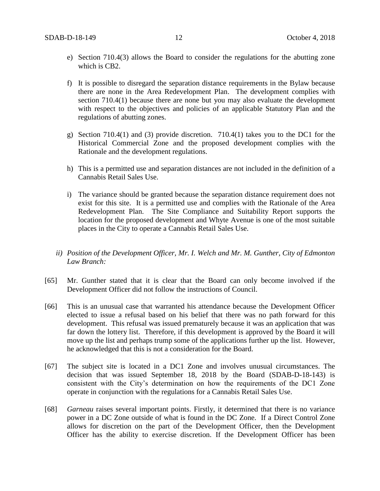- e) Section 710.4(3) allows the Board to consider the regulations for the abutting zone which is CB2.
- f) It is possible to disregard the separation distance requirements in the Bylaw because there are none in the Area Redevelopment Plan. The development complies with section 710.4(1) because there are none but you may also evaluate the development with respect to the objectives and policies of an applicable Statutory Plan and the regulations of abutting zones.
- g) Section 710.4(1) and (3) provide discretion. 710.4(1) takes you to the DC1 for the Historical Commercial Zone and the proposed development complies with the Rationale and the development regulations.
- h) This is a permitted use and separation distances are not included in the definition of a Cannabis Retail Sales Use.
- i) The variance should be granted because the separation distance requirement does not exist for this site. It is a permitted use and complies with the Rationale of the Area Redevelopment Plan. The Site Compliance and Suitability Report supports the location for the proposed development and Whyte Avenue is one of the most suitable places in the City to operate a Cannabis Retail Sales Use.
- *ii) Position of the Development Officer, Mr. I. Welch and Mr. M. Gunther, City of Edmonton Law Branch:*
- [65] Mr. Gunther stated that it is clear that the Board can only become involved if the Development Officer did not follow the instructions of Council.
- [66] This is an unusual case that warranted his attendance because the Development Officer elected to issue a refusal based on his belief that there was no path forward for this development. This refusal was issued prematurely because it was an application that was far down the lottery list. Therefore, if this development is approved by the Board it will move up the list and perhaps trump some of the applications further up the list. However, he acknowledged that this is not a consideration for the Board.
- [67] The subject site is located in a DC1 Zone and involves unusual circumstances. The decision that was issued September 18, 2018 by the Board (SDAB-D-18-143) is consistent with the City's determination on how the requirements of the DC1 Zone operate in conjunction with the regulations for a Cannabis Retail Sales Use.
- [68] *Garneau* raises several important points. Firstly, it determined that there is no variance power in a DC Zone outside of what is found in the DC Zone. If a Direct Control Zone allows for discretion on the part of the Development Officer, then the Development Officer has the ability to exercise discretion. If the Development Officer has been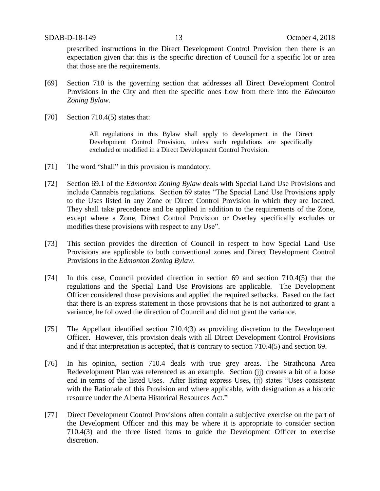prescribed instructions in the Direct Development Control Provision then there is an expectation given that this is the specific direction of Council for a specific lot or area that those are the requirements.

- [69] Section 710 is the governing section that addresses all Direct Development Control Provisions in the City and then the specific ones flow from there into the *Edmonton Zoning Bylaw*.
- [70] Section 710.4(5) states that:

All regulations in this Bylaw shall apply to development in the Direct Development Control Provision, unless such regulations are specifically excluded or modified in a Direct Development Control Provision.

- [71] The word "shall" in this provision is mandatory.
- [72] Section 69.1 of the *Edmonton Zoning Bylaw* deals with Special Land Use Provisions and include Cannabis regulations. Section 69 states "The Special Land Use Provisions apply to the Uses listed in any Zone or Direct Control Provision in which they are located. They shall take precedence and be applied in addition to the requirements of the Zone, except where a Zone, Direct Control Provision or Overlay specifically excludes or modifies these provisions with respect to any Use".
- [73] This section provides the direction of Council in respect to how Special Land Use Provisions are applicable to both conventional zones and Direct Development Control Provisions in the *Edmonton Zoning Bylaw*.
- [74] In this case, Council provided direction in section 69 and section 710.4(5) that the regulations and the Special Land Use Provisions are applicable. The Development Officer considered those provisions and applied the required setbacks. Based on the fact that there is an express statement in those provisions that he is not authorized to grant a variance, he followed the direction of Council and did not grant the variance.
- [75] The Appellant identified section 710.4(3) as providing discretion to the Development Officer. However, this provision deals with all Direct Development Control Provisions and if that interpretation is accepted, that is contrary to section 710.4(5) and section 69.
- [76] In his opinion, section 710.4 deals with true grey areas. The Strathcona Area Redevelopment Plan was referenced as an example. Section (jj) creates a bit of a loose end in terms of the listed Uses. After listing express Uses, (jj) states "Uses consistent with the Rationale of this Provision and where applicable, with designation as a historic resource under the Alberta Historical Resources Act."
- [77] Direct Development Control Provisions often contain a subjective exercise on the part of the Development Officer and this may be where it is appropriate to consider section 710.4(3) and the three listed items to guide the Development Officer to exercise discretion.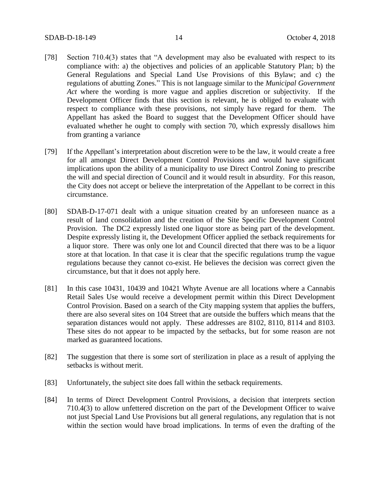- [78] Section 710.4(3) states that "A development may also be evaluated with respect to its compliance with: a) the objectives and policies of an applicable Statutory Plan; b) the General Regulations and Special Land Use Provisions of this Bylaw; and c) the regulations of abutting Zones." This is not language similar to the *Municipal Government Act* where the wording is more vague and applies discretion or subjectivity. If the Development Officer finds that this section is relevant, he is obliged to evaluate with respect to compliance with these provisions, not simply have regard for them. The Appellant has asked the Board to suggest that the Development Officer should have evaluated whether he ought to comply with section 70, which expressly disallows him from granting a variance
- [79] If the Appellant's interpretation about discretion were to be the law, it would create a free for all amongst Direct Development Control Provisions and would have significant implications upon the ability of a municipality to use Direct Control Zoning to prescribe the will and special direction of Council and it would result in absurdity. For this reason, the City does not accept or believe the interpretation of the Appellant to be correct in this circumstance.
- [80] SDAB-D-17-071 dealt with a unique situation created by an unforeseen nuance as a result of land consolidation and the creation of the Site Specific Development Control Provision. The DC2 expressly listed one liquor store as being part of the development. Despite expressly listing it, the Development Officer applied the setback requirements for a liquor store. There was only one lot and Council directed that there was to be a liquor store at that location. In that case it is clear that the specific regulations trump the vague regulations because they cannot co-exist. He believes the decision was correct given the circumstance, but that it does not apply here.
- [81] In this case 10431, 10439 and 10421 Whyte Avenue are all locations where a Cannabis Retail Sales Use would receive a development permit within this Direct Development Control Provision. Based on a search of the City mapping system that applies the buffers, there are also several sites on 104 Street that are outside the buffers which means that the separation distances would not apply. These addresses are 8102, 8110, 8114 and 8103. These sites do not appear to be impacted by the setbacks, but for some reason are not marked as guaranteed locations.
- [82] The suggestion that there is some sort of sterilization in place as a result of applying the setbacks is without merit.
- [83] Unfortunately, the subject site does fall within the setback requirements.
- [84] In terms of Direct Development Control Provisions, a decision that interprets section 710.4(3) to allow unfettered discretion on the part of the Development Officer to waive not just Special Land Use Provisions but all general regulations, any regulation that is not within the section would have broad implications. In terms of even the drafting of the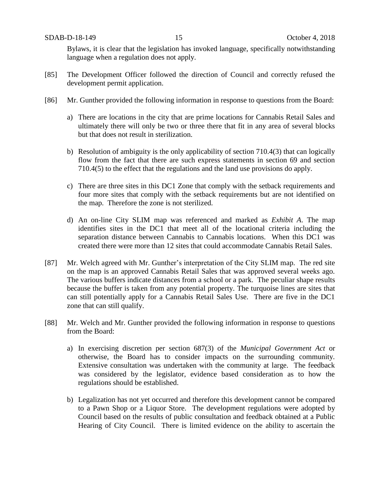Bylaws, it is clear that the legislation has invoked language, specifically notwithstanding language when a regulation does not apply.

- [85] The Development Officer followed the direction of Council and correctly refused the development permit application.
- [86] Mr. Gunther provided the following information in response to questions from the Board:
	- a) There are locations in the city that are prime locations for Cannabis Retail Sales and ultimately there will only be two or three there that fit in any area of several blocks but that does not result in sterilization.
	- b) Resolution of ambiguity is the only applicability of section 710.4(3) that can logically flow from the fact that there are such express statements in section 69 and section 710.4(5) to the effect that the regulations and the land use provisions do apply.
	- c) There are three sites in this DC1 Zone that comply with the setback requirements and four more sites that comply with the setback requirements but are not identified on the map. Therefore the zone is not sterilized.
	- d) An on-line City SLIM map was referenced and marked as *Exhibit A*. The map identifies sites in the DC1 that meet all of the locational criteria including the separation distance between Cannabis to Cannabis locations. When this DC1 was created there were more than 12 sites that could accommodate Cannabis Retail Sales.
- [87] Mr. Welch agreed with Mr. Gunther's interpretation of the City SLIM map. The red site on the map is an approved Cannabis Retail Sales that was approved several weeks ago. The various buffers indicate distances from a school or a park. The peculiar shape results because the buffer is taken from any potential property. The turquoise lines are sites that can still potentially apply for a Cannabis Retail Sales Use. There are five in the DC1 zone that can still qualify.
- [88] Mr. Welch and Mr. Gunther provided the following information in response to questions from the Board:
	- a) In exercising discretion per section 687(3) of the *Municipal Government Act* or otherwise, the Board has to consider impacts on the surrounding community. Extensive consultation was undertaken with the community at large. The feedback was considered by the legislator, evidence based consideration as to how the regulations should be established.
	- b) Legalization has not yet occurred and therefore this development cannot be compared to a Pawn Shop or a Liquor Store. The development regulations were adopted by Council based on the results of public consultation and feedback obtained at a Public Hearing of City Council. There is limited evidence on the ability to ascertain the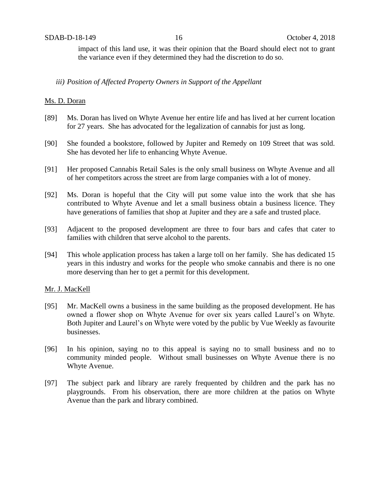impact of this land use, it was their opinion that the Board should elect not to grant the variance even if they determined they had the discretion to do so.

### *iii) Position of Affected Property Owners in Support of the Appellant*

#### Ms. D. Doran

- [89] Ms. Doran has lived on Whyte Avenue her entire life and has lived at her current location for 27 years. She has advocated for the legalization of cannabis for just as long.
- [90] She founded a bookstore, followed by Jupiter and Remedy on 109 Street that was sold. She has devoted her life to enhancing Whyte Avenue.
- [91] Her proposed Cannabis Retail Sales is the only small business on Whyte Avenue and all of her competitors across the street are from large companies with a lot of money.
- [92] Ms. Doran is hopeful that the City will put some value into the work that she has contributed to Whyte Avenue and let a small business obtain a business licence. They have generations of families that shop at Jupiter and they are a safe and trusted place.
- [93] Adjacent to the proposed development are three to four bars and cafes that cater to families with children that serve alcohol to the parents.
- [94] This whole application process has taken a large toll on her family. She has dedicated 15 years in this industry and works for the people who smoke cannabis and there is no one more deserving than her to get a permit for this development.

#### Mr. J. MacKell

- [95] Mr. MacKell owns a business in the same building as the proposed development. He has owned a flower shop on Whyte Avenue for over six years called Laurel's on Whyte. Both Jupiter and Laurel's on Whyte were voted by the public by Vue Weekly as favourite businesses.
- [96] In his opinion, saying no to this appeal is saying no to small business and no to community minded people. Without small businesses on Whyte Avenue there is no Whyte Avenue.
- [97] The subject park and library are rarely frequented by children and the park has no playgrounds. From his observation, there are more children at the patios on Whyte Avenue than the park and library combined.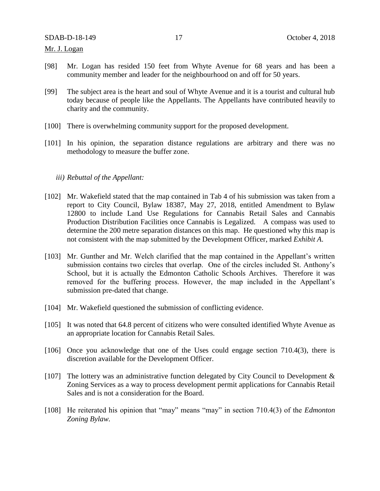Mr. J. Logan

- [98] Mr. Logan has resided 150 feet from Whyte Avenue for 68 years and has been a community member and leader for the neighbourhood on and off for 50 years.
- [99] The subject area is the heart and soul of Whyte Avenue and it is a tourist and cultural hub today because of people like the Appellants. The Appellants have contributed heavily to charity and the community.
- [100] There is overwhelming community support for the proposed development.
- [101] In his opinion, the separation distance regulations are arbitrary and there was no methodology to measure the buffer zone.

#### *iii) Rebuttal of the Appellant:*

- [102] Mr. Wakefield stated that the map contained in Tab 4 of his submission was taken from a report to City Council, Bylaw 18387, May 27, 2018, entitled Amendment to Bylaw 12800 to include Land Use Regulations for Cannabis Retail Sales and Cannabis Production Distribution Facilities once Cannabis is Legalized. A compass was used to determine the 200 metre separation distances on this map. He questioned why this map is not consistent with the map submitted by the Development Officer, marked *Exhibit A*.
- [103] Mr. Gunther and Mr. Welch clarified that the map contained in the Appellant's written submission contains two circles that overlap. One of the circles included St. Anthony's School, but it is actually the Edmonton Catholic Schools Archives. Therefore it was removed for the buffering process. However, the map included in the Appellant's submission pre-dated that change.
- [104] Mr. Wakefield questioned the submission of conflicting evidence.
- [105] It was noted that 64.8 percent of citizens who were consulted identified Whyte Avenue as an appropriate location for Cannabis Retail Sales.
- [106] Once you acknowledge that one of the Uses could engage section 710.4(3), there is discretion available for the Development Officer.
- [107] The lottery was an administrative function delegated by City Council to Development & Zoning Services as a way to process development permit applications for Cannabis Retail Sales and is not a consideration for the Board.
- [108] He reiterated his opinion that "may" means "may" in section 710.4(3) of the *Edmonton Zoning Bylaw.*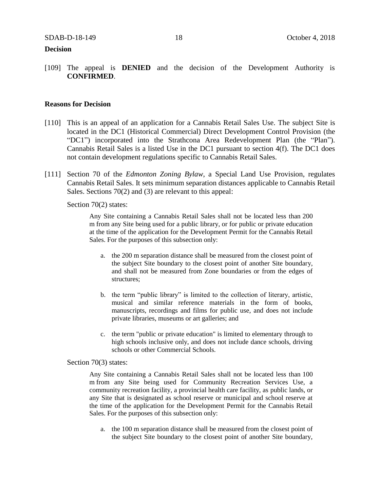#### **Decision**

[109] The appeal is **DENIED** and the decision of the Development Authority is **CONFIRMED**.

#### **Reasons for Decision**

- [110] This is an appeal of an application for a Cannabis Retail Sales Use. The subject Site is located in the DC1 (Historical Commercial) Direct Development Control Provision (the "DC1") incorporated into the Strathcona Area Redevelopment Plan (the "Plan"). Cannabis Retail Sales is a listed Use in the DC1 pursuant to section 4(f). The DC1 does not contain development regulations specific to Cannabis Retail Sales.
- [111] Section 70 of the *Edmonton Zoning Bylaw*, a Special Land Use Provision, regulates Cannabis Retail Sales. It sets minimum separation distances applicable to Cannabis Retail Sales. Sections 70(2) and (3) are relevant to this appeal:

Section 70(2) states:

Any Site containing a Cannabis Retail Sales shall not be located less than 200 m from any Site being used for a public library, or for public or private education at the time of the application for the Development Permit for the Cannabis Retail Sales. For the purposes of this subsection only:

- a. the 200 m separation distance shall be measured from the closest point of the subject Site boundary to the closest point of another Site boundary, and shall not be measured from Zone boundaries or from the edges of structures;
- b. the term "public library" is limited to the collection of literary, artistic, musical and similar reference materials in the form of books, manuscripts, recordings and films for public use, and does not include private libraries, museums or art galleries; and
- c. the term "public or private education" is limited to elementary through to high schools inclusive only, and does not include dance schools, driving schools or other Commercial Schools.

#### Section 70(3) states:

Any Site containing a Cannabis Retail Sales shall not be located less than 100 m from any Site being used for Community Recreation Services Use, a community recreation facility, a provincial health care facility, as public lands, or any Site that is designated as school reserve or municipal and school reserve at the time of the application for the Development Permit for the Cannabis Retail Sales. For the purposes of this subsection only:

a. the 100 m separation distance shall be measured from the closest point of the subject Site boundary to the closest point of another Site boundary,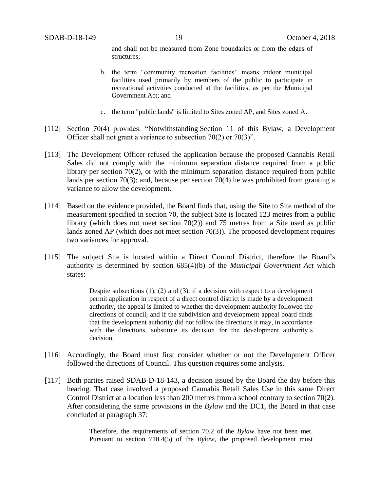and shall not be measured from Zone boundaries or from the edges of structures;

- b. the term "community recreation facilities" means indoor municipal facilities used primarily by members of the public to participate in recreational activities conducted at the facilities, as per the Municipal Government Act; and
- c. the term "public lands" is limited to Sites zoned AP, and Sites zoned A.
- [112] Section 70(4) provides: "Notwithstanding Section 11 of this Bylaw, a Development Officer shall not grant a variance to subsection 70(2) or 70(3)".
- [113] The Development Officer refused the application because the proposed Cannabis Retail Sales did not comply with the minimum separation distance required from a public library per section 70(2), or with the minimum separation distance required from public lands per section 70(3); and, because per section 70(4) he was prohibited from granting a variance to allow the development.
- [114] Based on the evidence provided, the Board finds that, using the Site to Site method of the measurement specified in section 70, the subject Site is located 123 metres from a public library (which does not meet section 70(2)) and 75 metres from a Site used as public lands zoned AP (which does not meet section 70(3)). The proposed development requires two variances for approval.
- [115] The subject Site is located within a Direct Control District, therefore the Board's authority is determined by section 685(4)(b) of the *Municipal Government Act* which states:

Despite subsections  $(1)$ ,  $(2)$  and  $(3)$ , if a decision with respect to a development permit application in respect of a direct control district is made by a development authority, the appeal is limited to whether the development authority followed the directions of council, and if the subdivision and development appeal board finds that the development authority did not follow the directions it may, in accordance with the directions, substitute its decision for the development authority's decision.

- [116] Accordingly, the Board must first consider whether or not the Development Officer followed the directions of Council. This question requires some analysis.
- [117] Both parties raised SDAB-D-18-143, a decision issued by the Board the day before this hearing. That case involved a proposed Cannabis Retail Sales Use in this same Direct Control District at a location less than 200 metres from a school contrary to section 70(2). After considering the same provisions in the *Bylaw* and the DC1, the Board in that case concluded at paragraph 37:

Therefore, the requirements of section 70.2 of the *Bylaw* have not been met. Pursuant to section 710.4(5) of the *Bylaw*, the proposed development must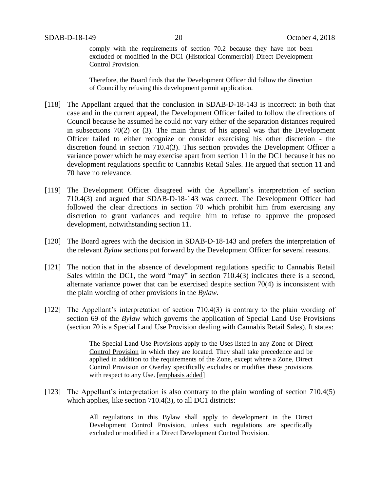comply with the requirements of section 70.2 because they have not been excluded or modified in the DC1 (Historical Commercial) Direct Development Control Provision.

Therefore, the Board finds that the Development Officer did follow the direction of Council by refusing this development permit application.

- [118] The Appellant argued that the conclusion in SDAB-D-18-143 is incorrect: in both that case and in the current appeal, the Development Officer failed to follow the directions of Council because he assumed he could not vary either of the separation distances required in subsections 70(2) or (3). The main thrust of his appeal was that the Development Officer failed to either recognize or consider exercising his other discretion - the discretion found in section 710.4(3). This section provides the Development Officer a variance power which he may exercise apart from section 11 in the DC1 because it has no development regulations specific to Cannabis Retail Sales. He argued that section 11 and 70 have no relevance.
- [119] The Development Officer disagreed with the Appellant's interpretation of section 710.4(3) and argued that SDAB-D-18-143 was correct. The Development Officer had followed the clear directions in section 70 which prohibit him from exercising any discretion to grant variances and require him to refuse to approve the proposed development, notwithstanding section 11.
- [120] The Board agrees with the decision in SDAB-D-18-143 and prefers the interpretation of the relevant *Bylaw* sections put forward by the Development Officer for several reasons.
- [121] The notion that in the absence of development regulations specific to Cannabis Retail Sales within the DC1, the word "may" in section 710.4(3) indicates there is a second, alternate variance power that can be exercised despite section 70(4) is inconsistent with the plain wording of other provisions in the *Bylaw*.
- [122] The Appellant's interpretation of section 710.4(3) is contrary to the plain wording of section 69 of the *Bylaw* which governs the application of Special Land Use Provisions (section 70 is a Special Land Use Provision dealing with Cannabis Retail Sales). It states:

The Special Land Use Provisions apply to the Uses listed in any Zone or Direct Control Provision in which they are located. They shall take precedence and be applied in addition to the requirements of the Zone, except where a Zone, Direct Control Provision or Overlay specifically excludes or modifies these provisions with respect to any Use. [emphasis added]

[123] The Appellant's interpretation is also contrary to the plain wording of section 710.4(5) which applies, like section 710.4(3), to all DC1 districts:

> All regulations in this Bylaw shall apply to development in the Direct Development Control Provision, unless such regulations are specifically excluded or modified in a Direct Development Control Provision.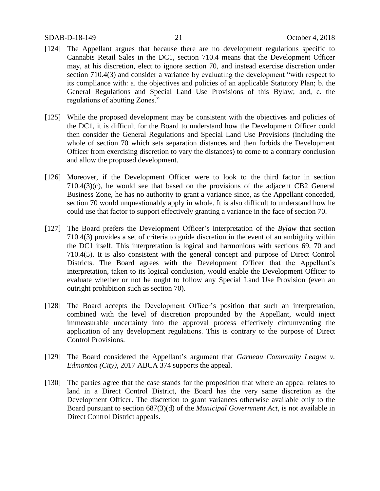#### SDAB-D-18-149 21 October 4, 2018

- [124] The Appellant argues that because there are no development regulations specific to Cannabis Retail Sales in the DC1, section 710.4 means that the Development Officer may, at his discretion, elect to ignore section 70, and instead exercise discretion under section 710.4(3) and consider a variance by evaluating the development "with respect to its compliance with: a. the objectives and policies of an applicable Statutory Plan; b. the General Regulations and Special Land Use Provisions of this Bylaw; and, c. the regulations of abutting Zones."
- [125] While the proposed development may be consistent with the objectives and policies of the DC1, it is difficult for the Board to understand how the Development Officer could then consider the General Regulations and Special Land Use Provisions (including the whole of section 70 which sets separation distances and then forbids the Development Officer from exercising discretion to vary the distances) to come to a contrary conclusion and allow the proposed development.
- [126] Moreover, if the Development Officer were to look to the third factor in section 710.4(3)(c), he would see that based on the provisions of the adjacent CB2 General Business Zone, he has no authority to grant a variance since, as the Appellant conceded, section 70 would unquestionably apply in whole. It is also difficult to understand how he could use that factor to support effectively granting a variance in the face of section 70.
- [127] The Board prefers the Development Officer's interpretation of the *Bylaw* that section 710.4(3) provides a set of criteria to guide discretion in the event of an ambiguity within the DC1 itself. This interpretation is logical and harmonious with sections 69, 70 and 710.4(5). It is also consistent with the general concept and purpose of Direct Control Districts. The Board agrees with the Development Officer that the Appellant's interpretation, taken to its logical conclusion, would enable the Development Officer to evaluate whether or not he ought to follow any Special Land Use Provision (even an outright prohibition such as section 70).
- [128] The Board accepts the Development Officer's position that such an interpretation, combined with the level of discretion propounded by the Appellant, would inject immeasurable uncertainty into the approval process effectively circumventing the application of any development regulations. This is contrary to the purpose of Direct Control Provisions.
- [129] The Board considered the Appellant's argument that *Garneau Community League v. Edmonton (City)*, 2017 ABCA 374 supports the appeal.
- [130] The parties agree that the case stands for the proposition that where an appeal relates to land in a Direct Control District, the Board has the very same discretion as the Development Officer. The discretion to grant variances otherwise available only to the Board pursuant to section 687(3)(d) of the *Municipal Government Act*, is not available in Direct Control District appeals.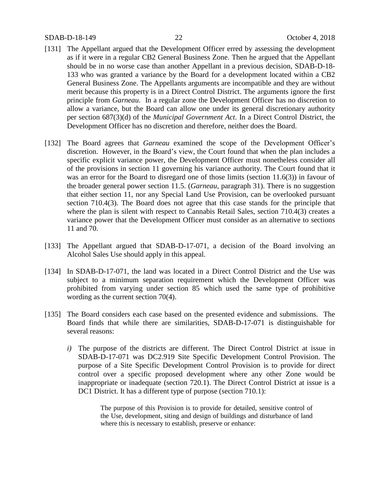#### SDAB-D-18-149 22 October 4, 2018

- [131] The Appellant argued that the Development Officer erred by assessing the development as if it were in a regular CB2 General Business Zone. Then he argued that the Appellant should be in no worse case than another Appellant in a previous decision, SDAB-D-18- 133 who was granted a variance by the Board for a development located within a CB2 General Business Zone. The Appellants arguments are incompatible and they are without merit because this property is in a Direct Control District. The arguments ignore the first principle from *Garneau*. In a regular zone the Development Officer has no discretion to allow a variance, but the Board can allow one under its general discretionary authority per section 687(3)(d) of the *Municipal Government Act*. In a Direct Control District, the Development Officer has no discretion and therefore, neither does the Board.
- [132] The Board agrees that *Garneau* examined the scope of the Development Officer's discretion. However, in the Board's view, the Court found that when the plan includes a specific explicit variance power, the Development Officer must nonetheless consider all of the provisions in section 11 governing his variance authority. The Court found that it was an error for the Board to disregard one of those limits (section 11.6(3)) in favour of the broader general power section 11.5. (*Garneau*, paragraph 31). There is no suggestion that either section 11, nor any Special Land Use Provision, can be overlooked pursuant section 710.4(3). The Board does not agree that this case stands for the principle that where the plan is silent with respect to Cannabis Retail Sales, section 710.4(3) creates a variance power that the Development Officer must consider as an alternative to sections 11 and 70.
- [133] The Appellant argued that SDAB-D-17-071, a decision of the Board involving an Alcohol Sales Use should apply in this appeal.
- [134] In SDAB-D-17-071, the land was located in a Direct Control District and the Use was subject to a minimum separation requirement which the Development Officer was prohibited from varying under section 85 which used the same type of prohibitive wording as the current section 70(4).
- [135] The Board considers each case based on the presented evidence and submissions. The Board finds that while there are similarities, SDAB-D-17-071 is distinguishable for several reasons:
	- *i)* The purpose of the districts are different. The Direct Control District at issue in SDAB-D-17-071 was DC2.919 Site Specific Development Control Provision. The purpose of a Site Specific Development Control Provision is to provide for direct control over a specific proposed development where any other Zone would be inappropriate or inadequate (section 720.1). The Direct Control District at issue is a DC1 District. It has a different type of purpose (section 710.1):

The purpose of this Provision is to provide for detailed, sensitive control of the Use, development, siting and design of buildings and disturbance of land where this is necessary to establish, preserve or enhance: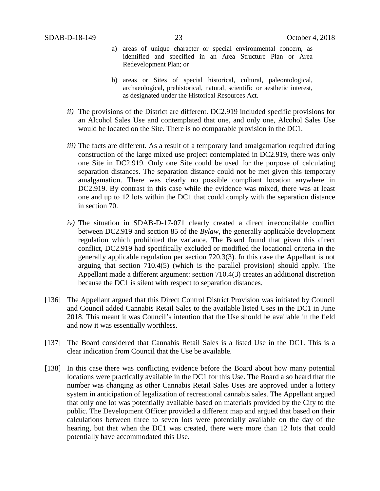- a) areas of unique character or special environmental concern, as identified and specified in an Area Structure Plan or Area Redevelopment Plan; or
- b) areas or Sites of special historical, cultural, paleontological, archaeological, prehistorical, natural, scientific or aesthetic interest, as designated under the Historical Resources Act.
- *ii)* The provisions of the District are different. DC2.919 included specific provisions for an Alcohol Sales Use and contemplated that one, and only one, Alcohol Sales Use would be located on the Site. There is no comparable provision in the DC1.
- *iii*) The facts are different. As a result of a temporary land amalgamation required during construction of the large mixed use project contemplated in DC2.919, there was only one Site in DC2.919. Only one Site could be used for the purpose of calculating separation distances. The separation distance could not be met given this temporary amalgamation. There was clearly no possible compliant location anywhere in DC2.919. By contrast in this case while the evidence was mixed, there was at least one and up to 12 lots within the DC1 that could comply with the separation distance in section 70.
- *iv)* The situation in SDAB-D-17-071 clearly created a direct irreconcilable conflict between DC2.919 and section 85 of the *Bylaw*, the generally applicable development regulation which prohibited the variance. The Board found that given this direct conflict, DC2.919 had specifically excluded or modified the locational criteria in the generally applicable regulation per section 720.3(3). In this case the Appellant is not arguing that section 710.4(5) (which is the parallel provision) should apply. The Appellant made a different argument: section 710.4(3) creates an additional discretion because the DC1 is silent with respect to separation distances.
- [136] The Appellant argued that this Direct Control District Provision was initiated by Council and Council added Cannabis Retail Sales to the available listed Uses in the DC1 in June 2018. This meant it was Council's intention that the Use should be available in the field and now it was essentially worthless.
- [137] The Board considered that Cannabis Retail Sales is a listed Use in the DC1. This is a clear indication from Council that the Use be available.
- [138] In this case there was conflicting evidence before the Board about how many potential locations were practically available in the DC1 for this Use. The Board also heard that the number was changing as other Cannabis Retail Sales Uses are approved under a lottery system in anticipation of legalization of recreational cannabis sales. The Appellant argued that only one lot was potentially available based on materials provided by the City to the public. The Development Officer provided a different map and argued that based on their calculations between three to seven lots were potentially available on the day of the hearing, but that when the DC1 was created, there were more than 12 lots that could potentially have accommodated this Use.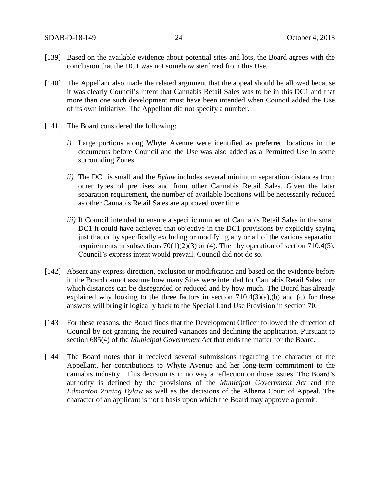- [139] Based on the available evidence about potential sites and lots, the Board agrees with the conclusion that the DC1 was not somehow sterilized from this Use.
- [140] The Appellant also made the related argument that the appeal should be allowed because it was clearly Council's intent that Cannabis Retail Sales was to be in this DC1 and that more than one such development must have been intended when Council added the Use of its own initiative. The Appellant did not specify a number.
- [141] The Board considered the following:
	- *i)* Large portions along Whyte Avenue were identified as preferred locations in the documents before Council and the Use was also added as a Permitted Use in some surrounding Zones.
	- *ii)* The DC1 is small and the *Bylaw* includes several minimum separation distances from other types of premises and from other Cannabis Retail Sales. Given the later separation requirement, the number of available locations will be necessarily reduced as other Cannabis Retail Sales are approved over time.
	- *iii)* If Council intended to ensure a specific number of Cannabis Retail Sales in the small DC1 it could have achieved that objective in the DC1 provisions by explicitly saying just that or by specifically excluding or modifying any or all of the various separation requirements in subsections  $70(1)(2)(3)$  or (4). Then by operation of section 710.4(5), Council's express intent would prevail. Council did not do so.
- [142] Absent any express direction, exclusion or modification and based on the evidence before it, the Board cannot assume how many Sites were intended for Cannabis Retail Sales, nor which distances can be disregarded or reduced and by how much. The Board has already explained why looking to the three factors in section  $710.4(3)(a)$ , (b) and (c) for these answers will bring it logically back to the Special Land Use Provision in section 70.
- [143] For these reasons, the Board finds that the Development Officer followed the direction of Council by not granting the required variances and declining the application. Pursuant to section 685(4) of the *Municipal Government Act* that ends the matter for the Board.
- [144] The Board notes that it received several submissions regarding the character of the Appellant, her contributions to Whyte Avenue and her long-term commitment to the cannabis industry. This decision is in no way a reflection on those issues. The Board's authority is defined by the provisions of the *Municipal Government Act* and the *Edmonton Zoning Bylaw* as well as the decisions of the Alberta Court of Appeal. The character of an applicant is not a basis upon which the Board may approve a permit.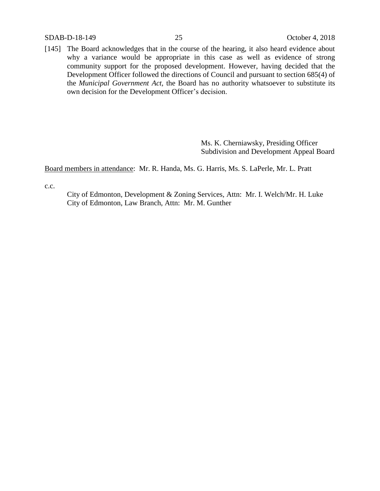SDAB-D-18-149 25 October 4, 2018

[145] The Board acknowledges that in the course of the hearing, it also heard evidence about why a variance would be appropriate in this case as well as evidence of strong community support for the proposed development. However, having decided that the Development Officer followed the directions of Council and pursuant to section 685(4) of the *Municipal Government Act,* the Board has no authority whatsoever to substitute its own decision for the Development Officer's decision.

> Ms. K. Cherniawsky, Presiding Officer Subdivision and Development Appeal Board

Board members in attendance: Mr. R. Handa, Ms. G. Harris, Ms. S. LaPerle, Mr. L. Pratt

c.c.

City of Edmonton, Development & Zoning Services, Attn: Mr. I. Welch/Mr. H. Luke City of Edmonton, Law Branch, Attn: Mr. M. Gunther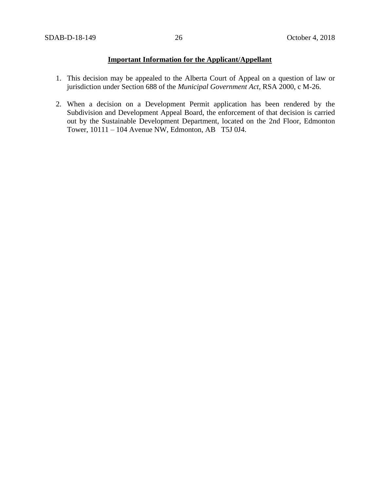## **Important Information for the Applicant/Appellant**

- 1. This decision may be appealed to the Alberta Court of Appeal on a question of law or jurisdiction under Section 688 of the *Municipal Government Act*, RSA 2000, c M-26.
- 2. When a decision on a Development Permit application has been rendered by the Subdivision and Development Appeal Board, the enforcement of that decision is carried out by the Sustainable Development Department, located on the 2nd Floor, Edmonton Tower, 10111 – 104 Avenue NW, Edmonton, AB T5J 0J4.